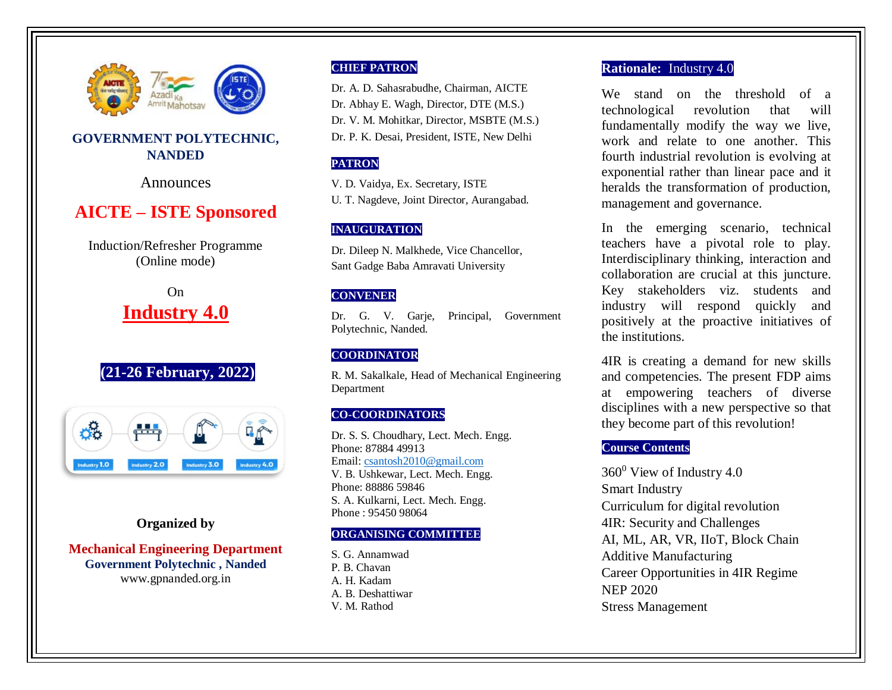

# **GOVERNMENT POLYTECHNIC, NANDED**

Announces

# **AICTE – ISTE Sponsored**

Induction/Refresher Programme (Online mode)

> On **Industry 4.0**

# **(21-26 February, 2022)**



## **Organized by**

**Mechanical Engineering Department Government Polytechnic , Nanded** www.gpnanded.org.in

### **CHIEF PATRON**

Dr. A. D. Sahasrabudhe, Chairman, AICTE Dr. Abhay E. Wagh, Director, DTE (M.S.) Dr. V. M. Mohitkar, Director, MSBTE (M.S.) Dr. P. K. Desai, President, ISTE, New Delhi

## **PATRON**

V. D. Vaidya, Ex. Secretary, ISTE U. T. Nagdeve, Joint Director, Aurangabad.

## **INAUGURATION**

Dr. Dileep N. Malkhede, Vice Chancellor, Sant Gadge Baba Amravati University

## **CONVENER**

Dr. G. V. Garje, Principal, Government Polytechnic, Nanded.

### **COORDINATOR**

R. M. Sakalkale, Head of Mechanical Engineering Department

## **CO-COORDINATORS**

Dr. S. S. Choudhary, Lect. Mech. Engg. Phone: 87884 49913 Email: [csantosh2010@gmail.com](mailto:csantosh2010@gmail.com) V. B. Ushkewar, Lect. Mech. Engg. Phone: 88886 59846 S. A. Kulkarni, Lect. Mech. Engg. Phone : 95450 98064

### **ORGANISING COMMITTEE**

S. G. Annamwad P. B. Chavan A. H. Kadam A. B. Deshattiwar V. M. Rathod

### **Rationale:** Industry 4.0

We stand on the threshold of a technological revolution that will fundamentally modify the way we live, work and relate to one another. This fourth industrial revolution is evolving at exponential rather than linear pace and it heralds the transformation of production, management and governance.

In the emerging scenario, technical teachers have a pivotal role to play. Interdisciplinary thinking, interaction and collaboration are crucial at this juncture. Key stakeholders viz. students and industry will respond quickly and positively at the proactive initiatives of the institutions.

4IR is creating a demand for new skills and competencies. The present FDP aims at empowering teachers of diverse disciplines with a new perspective so that they become part of this revolution!

## **Course Contents**

 $360^0$  View of Industry 4.0 Smart Industry Curriculum for digital revolution 4IR: Security and Challenges AI, ML, AR, VR, IIoT, Block Chain Additive Manufacturing Career Opportunities in 4IR Regime NEP 2020 Stress Management